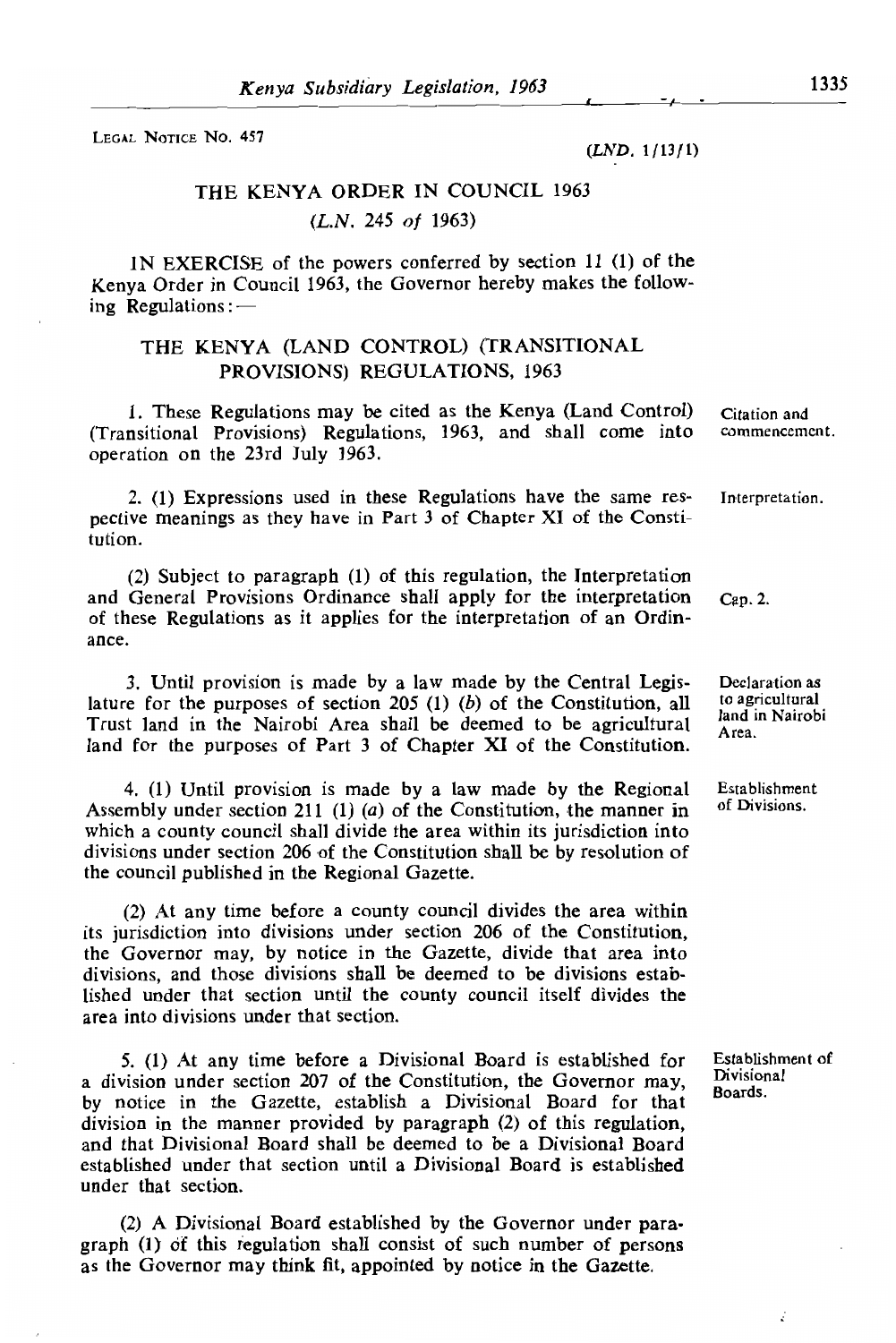LEGAL NOTICE NO. 457

*(LND.* 1/13/1)

# THE KENYA ORDER IN COUNCIL 1963  $(L<sub>N</sub> 245 of 1963)$  $\sum_{i=1}^{n}$

 $T_{\text{H}}$  (CONTROL) (The Kenya makes the follow- $\sum_{i=1}^{n}$ ing Regulations:-

#### I. The CONTROL) (TRANSITIONAL (TAND CONTROL) (TRANSITIONAL PROVISIONS) REGULATIONS PROVISIONS) REGULATIONS, 1963.

nay be ched as the Kenya (Eand Control) Chanon and<br>Regulations, 1963, and shall come into commencement. perfective means as the same  $\frac{1}{2}$  of  $\frac{1}{2}$  of  $\frac{1}{2}$  of  $\frac{1}{2}$  of  $\frac{1}{2}$  of  $\frac{1}{2}$  of  $\frac{1}{2}$ tution.

2. (1) Expressions used in these Regulations have the same res- Interpretation. pective meanings as they have in Part 3 of Chapter XI of the Constitution.

(2) Subject to paragraph (1) of this regulation, the Interpretation  $\alpha$  applies for the interpretation of an Ordin-If applies for the interpretation of an Ordinance.

3. Until provision is made by a law made by the Central Legis- Declaration as lature for the purposes of section 205 (1) (b) of the Constitution, all to agricultural<br>Trust land in the Nairobi Area shall be deemed to be agricultural  $\frac{1}{Area}$ .  $\frac{1}{\sqrt{1}}$  (1)  $\frac{1}{\sqrt{1}}$  (1)  $\frac{1}{\sqrt{1}}$  (1)  $\frac{1}{\sqrt{1}}$  (1)  $\frac{1}{\sqrt{1}}$  (1)  $\frac{1}{\sqrt{1}}$  (1)  $\frac{1}{\sqrt{1}}$  (1)  $\frac{1}{\sqrt{1}}$  (1)  $\frac{1}{\sqrt{1}}$  (1)  $\frac{1}{\sqrt{1}}$  (1)  $\frac{1}{\sqrt{1}}$  (1)  $\frac{1}{\sqrt{1}}$  (1)  $\frac{1}{\sqrt{1}}$  (1) which a county county county contains in

4. (1) Until provision is made by a law made by the Regional Establishment Assembly under section 211 (1) (a) of the Constitution, the manner in which a county council shall divide the area within its jurisdiction into divisions under section 206 of the Constitution shall be by resolution of the council published in the Regional Gazette.

 $(2)$  At any time before a county council divides the area within its jurisdiction into divisions under section 206 of the Constitution, the Governor may, by notice in the Gazette, divide that area into divisions, and those divisions shall be deemed to be divisions established under that section until the county council itself divides the area into divisions under that section. by notice in the Gazette, establish a Division Board for the Gazette, establish a Division Board for the Gazette, establish a Division Board for the Gazette, establish a Division Board for the Gazette, establish a Division

5. (1) At any time before a Divisional Board is established for Establishment of a division under section 207 of the Constitution, the Governor may, Divisional Boards. by notice in the Gazette, establish a Divisional Board for that division in the manner provided by paragraph (2) of this regulation,  $\Omega$  and the Governor control by the Governor under parameters  $\Omega$  and  $\Omega$  and  $\Omega$  $sec$ <sub>1</sub> of the  $1$  of  $1$  of  $1$  of  $1$  of  $2$  of  $n$  is established under that section.

(2) A Divisional Board established by the Governor under paragraph (1) of this regulation shall consist of such number of persons as the Governor may think fit, appointed by notice in the Gazette.

to agricultural

of Divisions.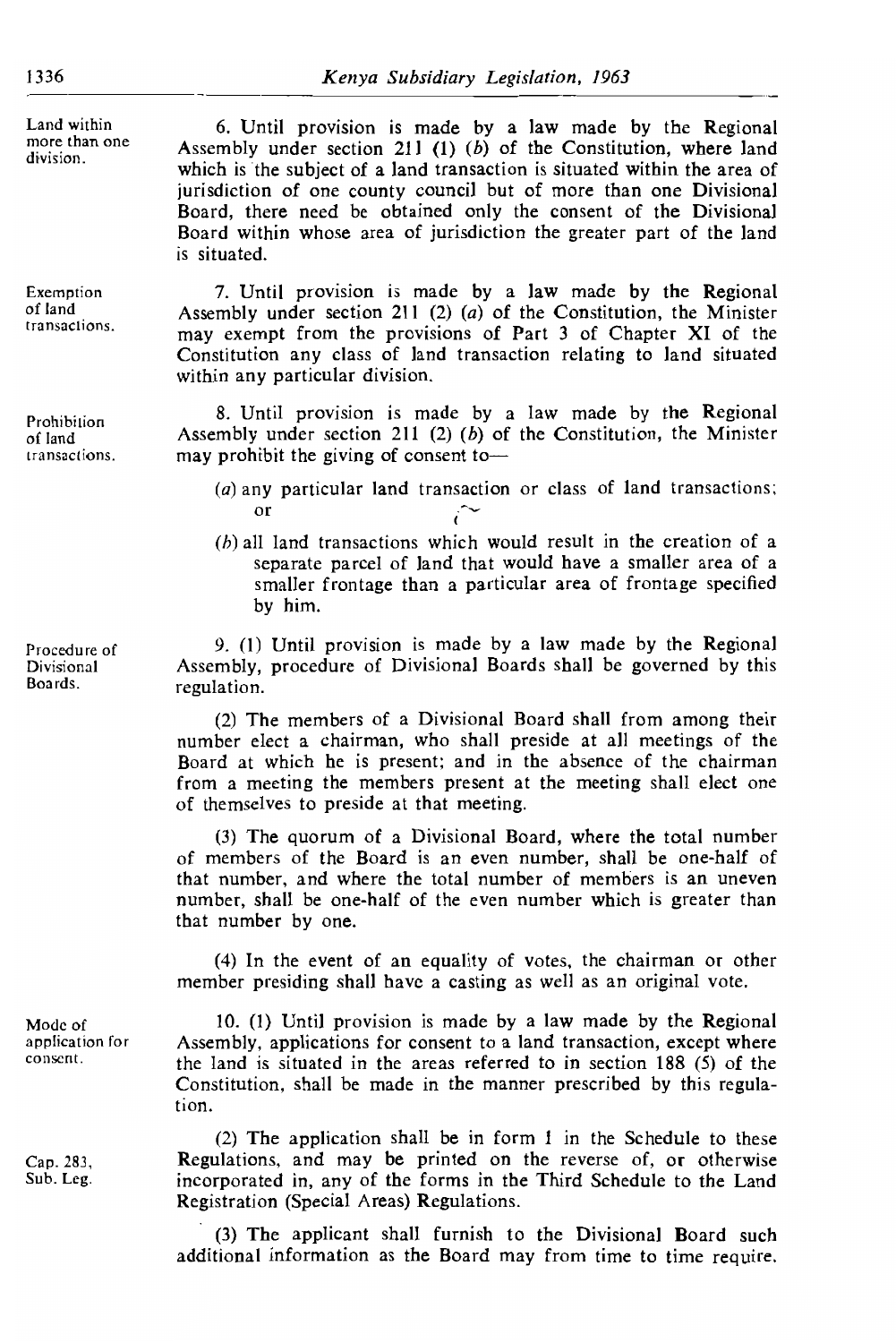Land within more than one. division.

Exemption of land transactions

Prohibition of land transactions.

Procedure of Divisional Boards.

Mode of application for consent.

Cap. 283, Sub. Leg.

 $j_0$  and county county county county county  $\mathbf{p}_{\text{in}}$  more than  $\mathbf{p}_{\text{in}}$ Is made by a law made by the Regional  $\sim$  211.(1) (b) of the Constitution only we have  $\sim$ Assembly under section 211 (1) (b) of the Constitution, where land which is the subject of a land transaction is situated within the area of jurisdiction of one county council but of more than one Divisional I, there need be obtained only the consent of the Divisional I within whose area of jurisdiction the greater part of the land is situated.

7. Until provision is made by a law made by the Regional Assembly under section 211 (2) (a) of the Constitution, the Minister may exempt from the provisions of Part 3 of Chapter XI of the itution any class of land transaction relating to land situated n any particular division.

8. Until provision is made by a law made by the Regional Assembly under section 211 (2) (b) of the Constitution, the Minister  $\frac{d}{dt}$  is a set of all  $\frac{d}{dt}$  would result in the case of  $\frac{d}{dt}$ 

- $(a)$  any particular land transaction or class of land transactions;  $\alpha$ smaller from a particular area of frontage specified specified specified specified specified specified specified specified specified specified specified specified specified specified specified specified specified specifie
- $(b)$  all land transactions which would result in the creation of a separate parcel of land that would have a smaller area of a smaller frontage than a particular area of frontage specified by him.

9. (1) Until provision is made by a law made by the Regional Assembly, procedure of Divisional Boards shall be governed by this regulation.

 $f(2)$  The members of a Divisional Board shall from among their number elect a chairman, who shall preside at all meetings of the Board at which he is present; and in the absence of the chairman from a meeting the members present at the meeting shall elect one of themselves to preside at that meeting.

 $(3)$  The quorum of a Divisional Board, where the total number of members of the Board is an even number, shall be one-half of that number, and where the total number of members is an uneven number, shall be one-half of the even number which is greater than that number by one.

4) In the evber presiding shall have a casting as well as an original vote.  $10.0$  (1)  $\epsilon$  made by the Regional made by a law made by the Regional made by  $\epsilon$  $\alpha$  an equality of votes, the chairman or other

10.  $(1)$  Until provision is made by a law made by the Regional Assembly, applications for consent to a land transaction, except where the land is situated in the areas referred to in section 188  $(5)$  of the itution, shall be made in the manner prescribed by this regulation.

(2) The application shall be in form 1 in the Schedule to these Regulations, and may be printed on the reverse of, or otherwise incorporated in, any of the forms in the Third Schedule to the Land<br>Registration (Special Areas) Regulations.

(3) The applicant shall furnish to the Divisional Board such additional information as the Board may from time to time require.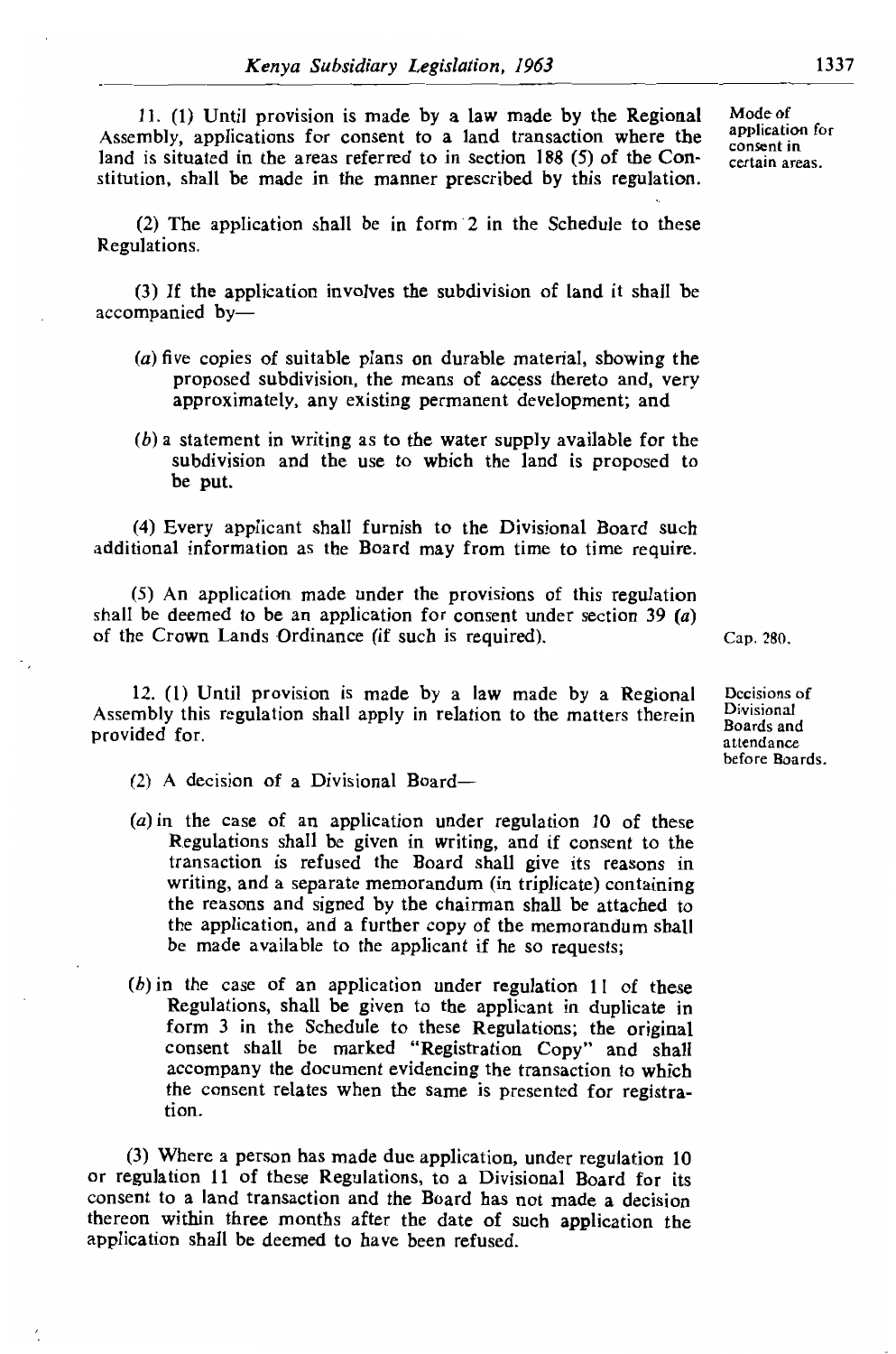11. (1) Until provision is made by a law made by the Regional Mode of Assembly, applications for consent to a land transaction where the application for land is situated in the areas referred to in section 188 (5) of the Con-<br>certain areas. stitution, shall be made in the manner prescribed by this regulation.

(2) The application shall be in form 2 in the Schedule to these Regulations.

nvolves the subdivision of land it shall be proposed subdivision, or means of and, very mean of accompanied by-

- le plans on durable material, showing the<br>long the means of access thereto and yery the means of access thereto and, very approximately, any existing permanent development; and
- $\frac{1}{2}$  Every applicant shall functional board such the Division of the Division of the Division of the Division of the Division of the Division of the Division of the Division of the Division of the Division of the Div additional information as the Board may from the Board may find the time to the Board may find the time require. be put.

(4) Every applicant shall furnish to the Divisional Board such  $\frac{1}{2}$  as the Board may from time to time require.  $\frac{1}{2}$  the Crown Lands Ordinance (if  $\frac{1}{2}$  is required).

(5) An application made under the provisions of this regulation shall be deemed to be an application for consent under section 39 (a)  $\frac{1}{2}$  Cap. 280. of the Crown Lands Ordinance (if such is required).

12. (1) Until provision is made by a law made by a Regional Assembly this regulation shall apply in relation to the matters therein provided for.

- $\alpha$  A decision of a Divisional Board  $t$  and  $B$ oard shall give its reasons in  $B$  and  $B$  and  $B$  and  $B$  and  $B$  and  $B$  and  $B$  and  $B$  and  $B$  and  $B$  and  $B$  and  $B$  and  $B$  and  $B$  and  $B$  and  $B$  and  $B$  and  $B$  and  $B$  and  $B$  and  $B$  and  $B$  and  $B$
- (a) in the case of an application under regulation 10 of these Regulations shall be given in writing, and if consent to the transaction is refused the Board shall give its reasons in writing, and a separate memorandum (in triplicate) containing (fied by the chairman shall be attached to  $\lambda_1$  of the memorandum shall uriner copy of the memorandum shall be applicant if the approaches be made available to the applicant if he so requests;
- (b) in the case of an application under regulation  $11$  of these Regulations, shall be given to the applicant in duplicate in form  $\overline{3}$  in the Schedule to these Regulations; the original consent shall be marked "Registration Copy" and shall accompany the document evidencing the transaction to which<br>the consent relates when the same is presented for registraor regulation 11 of the Control Board for its and the Division of the Division of the Division of the Division of the Division of the Division of the Division of the Division of the Division of the Division of the Division tion.

 $(3)$  Where a person has made due application, under regulation 10 or regulation 11 of these Regulations, to a Divisional Board for its consent to a land transaction and the Board has not made a decision thereon within three months after the date of such application the application shall be deemed to have been refused.

Decisions of Divisional Boards and attendance<br>before Roards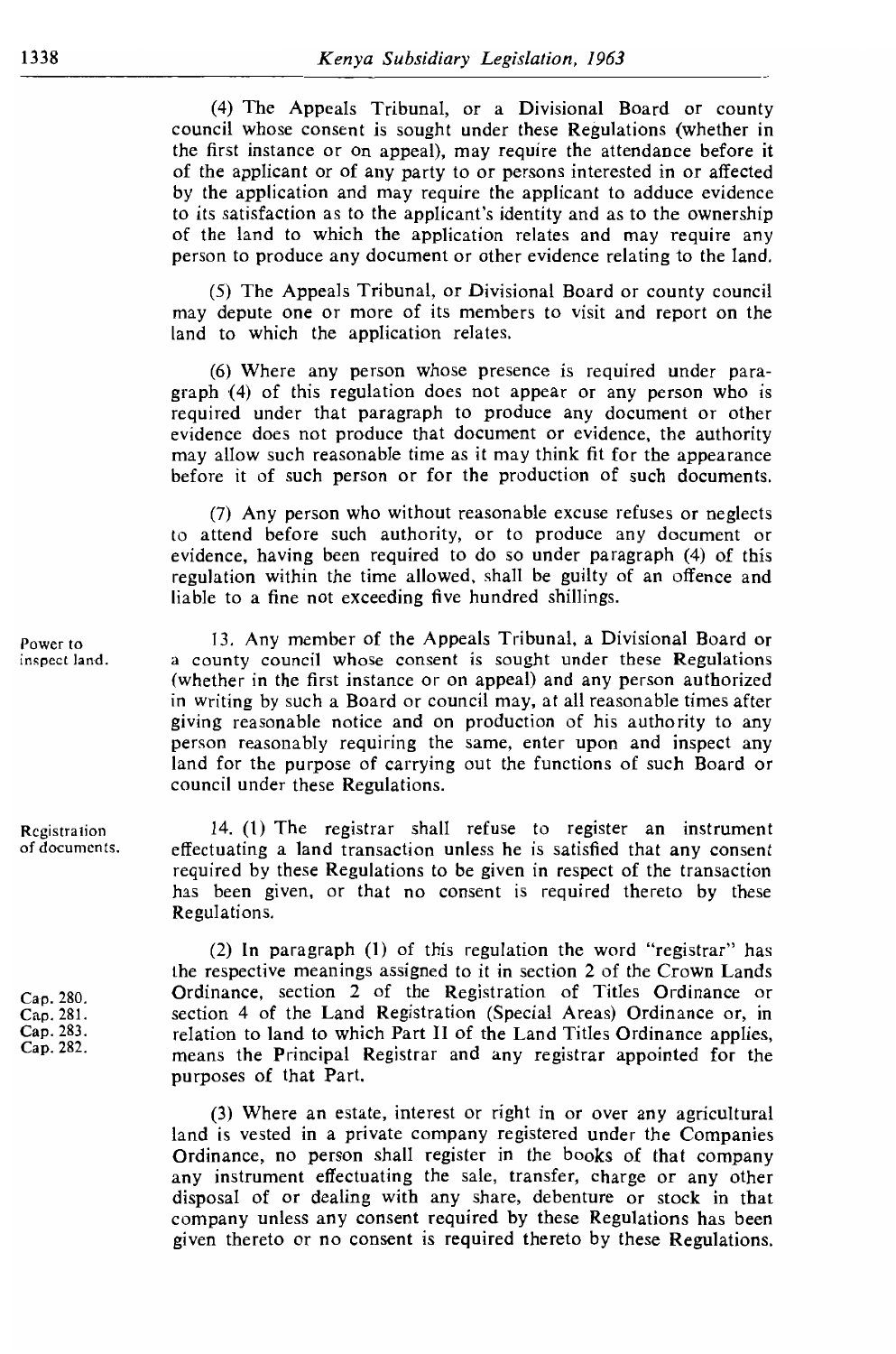$(4)$  The Appeals Tribunal, or a Divisional Board or county council whose consent is sought under these Regulations (whether in the first instance or on appeal), may require the attendance before it of the applicant or of any party to or persons interested in or affected by the application and may require the applicant to adduce evidence to its satisfaction as to the applicant's identity and as to the ownership of the land to which the application relates and may require any person to produce any document or other evidence relating to the land.

(5) The Appeals Tribunal, or Divisional Board or county council may depute one or more of its members to visit and report on the land to which the application relates.

 $(6)$  Where any person whose presence is required under paragraph  $(4)$  of this regulation does not appear or any person who is required under that paragraph to produce any document or other evidence does not produce that document or evidence, the authority may allow such reasonable time as it may think fit for the appearance before it of such person or for the production of such documents.

 $\alpha$  regimes to the Countries of the Appealian C<sub>1</sub> and the M<sub>1</sub> and the S<sub>1</sub> and the time allowed, shall be guilty of an offence and inon wind  $r(7)$  Any person who without reasonable excuse refuses or neglects to attend before such authority, or to produce any document or ime allowed, shall be guilty of an offence and<br>coding five bundred chillings ecuing tive fiuntured summigs.

13. Any member of the Appeals Tribunal, a Divisional Board or a county council whose consent is sought under these Regulations (whether in the first instance or on appeal) and any person authorized in writing by such a Board or council may, at all reasonable times after giving reasonable notice and on production of his authority to any g the same, enter upon and inspect any<br>rying out the functions of such Board or for the purpose of carrying out the functions of such Board or<br>il under these Regulations required by the Regulations to be given in respect of the transactions to be given in respect of the transactions of the transactions of the transactions of the transactions of the transactions of the transactions of the t council under these Regulations.

14. (1) The registrar shall refuse to register an instrument effectuating a land transaction unless he is satisfied that any consent required by these Regulations to be given in respect of the transaction has been given, or that no consent is required thereto by these cap. 280. Ordinance, section 2 of the Registration 2 of the Registration 2 of the Registration of Titles Ordinance ordinance ordinance ordinance ordinance ordinance ordinance ordinance ordinance ordinance ordinance ordinan

(2) In paragraph (1) of this regulation the word "registrar" has the respective meanings assigned to it in section 2 of the Crown Lands Ordinance, section 2 of the Registration of Titles Ordinance or section 4 of the Land Registration (Special Areas) Ordinance or, in relation to land to which Part II of the Land Titles Ordinance applies, means the Principal Registrar and any registrar appointed for the purposes of that Part.

(3) Where an estate, interest or right in or over any agricultural land is vested in a private company registered under the Companies Ordinance, no person shall register in the books of that company any instrument effectuating the sale, transfer, charge or any other disposal of or dealing with any share, debenture or stock in that company unless any consent required by these Regulations has been given thereto or no consent is required thereto by these Regulations.

Power to inspect land.

Registration of documents.

Cap. 280. Cap. 281. Cap. 283. Cap. 282.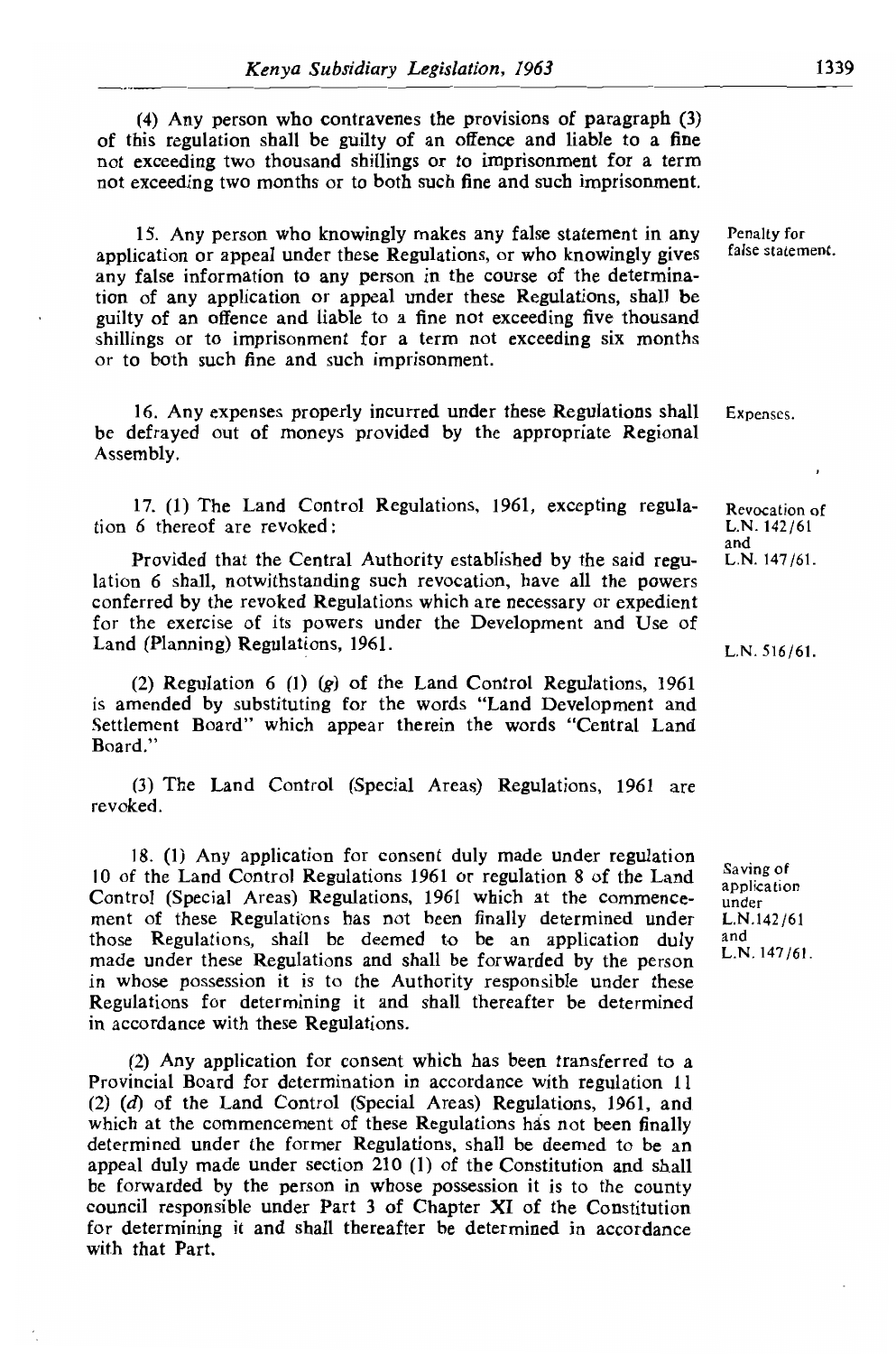(4) Any person who contravenes the provisions of paragraph  $(3)$ of this regulation shall be guilty of an offence and liable to a fine not exceeding two thousand shillings or to imprisonment for a term not exceeding two months or to both such fine and such imprisonment.

15. Any person who knowingly makes any false statement in any Penalty for application or appeal under these Regulations, or who knowingly gives false statement. any false information to any person in the course of the determination of any application or appeal under these Regulations, shall be guilty of an offence and liable to a fine not exceeding five thousand shillings or to imprisonment for a term not exceeding six months or to both such fine and such imprisonment.

16. Any expenses properly incurred under these Regulations shall be defrayed out of moneys provided by the appropriate Regional tion 6 thereof are revoked : L.N. 142/61 Assembly.

Provided that the Central Authority established by the said regu- L.N. 147/61. 17. (1) The Land Control Regulations, 1961, excepting regula-<br>tion 6 thereof are revoked: L.N. 142/61  $cked$  by the revolutions which are necessary or expedients which are necessary or expedients which are necessary or expedients.

and<br>**Provided that the Central Authority established by the said regu-** L.N. 147/61. lation 6 shall, notwithstanding such revocation, have all the powers egulations which are necessary or expedient<br>vers under the Develonment and Use of powers under the Development and Ose of the model of the words and Development and Ose of  $\mu$ ditions, 1961.

(2) Regulation  $6$  (1) (g) of the Land Control Regulations, 1961 (3) The Words TLand Development and<br>annear therein the words "Central Land revoke de personnelle de la personnelle de la personnelle de la personnelle de la personnelle de la personnell<br>De la personnelle de la personnelle de la personnelle de la personnelle de la personnelle de la personnelle de Board."

(3) The Land Control (Special Areas) Regulations, 1961 are 10 of the Land Control Regulations 1961 or regulation 8 of the Land revoked.

18. (1) Any application for consent duly made under regulation 10 of the Land Control Regulations 1961 or regulation 8 of the Land  $\frac{Saving\ of}{application}$ Control (Special Areas) Regulations, 1961 which at the commence- under ment of these Regulations has not been finally determined under L.N.142/61 those Regulations, shall be deemed to be an application duly and made under these Regulations and shall be forwarded by the person in whose possession it is to the Authority responsible under these Regulations for determining it and shall thereafter be determined<br>in accordance with these Regulations.  $\alpha$  **(Equiations, 1961)** Regulations, 1961, and Control (Special Areas) Regulations, 1961, and 1961, and 1961, and 1961, and 1961, and 1961, and 1961, and 1961, and 1961, and 1961, and 1961, and 1961, and 1961, and 1961,

(2) Any application for consent which has been transferred to a Provincial Board for determination in accordance with regulation 11 (2)  $(d)$  of the Land Control (Special Areas) Regulations, 1961, and which at the commencement of these Regulations has not been finally determined under the former Regulations, shall be deemed to be an appeal duly made under section 210 (1) of the Constitution and shall be forwarded by the person in whose possession it is to the county council responsible under Part 3 of Chapter XI of the Constitution for determining it and shall thereafter be determined in accordance with that Part.

 $L.N. 147/61.$ 

Expenses.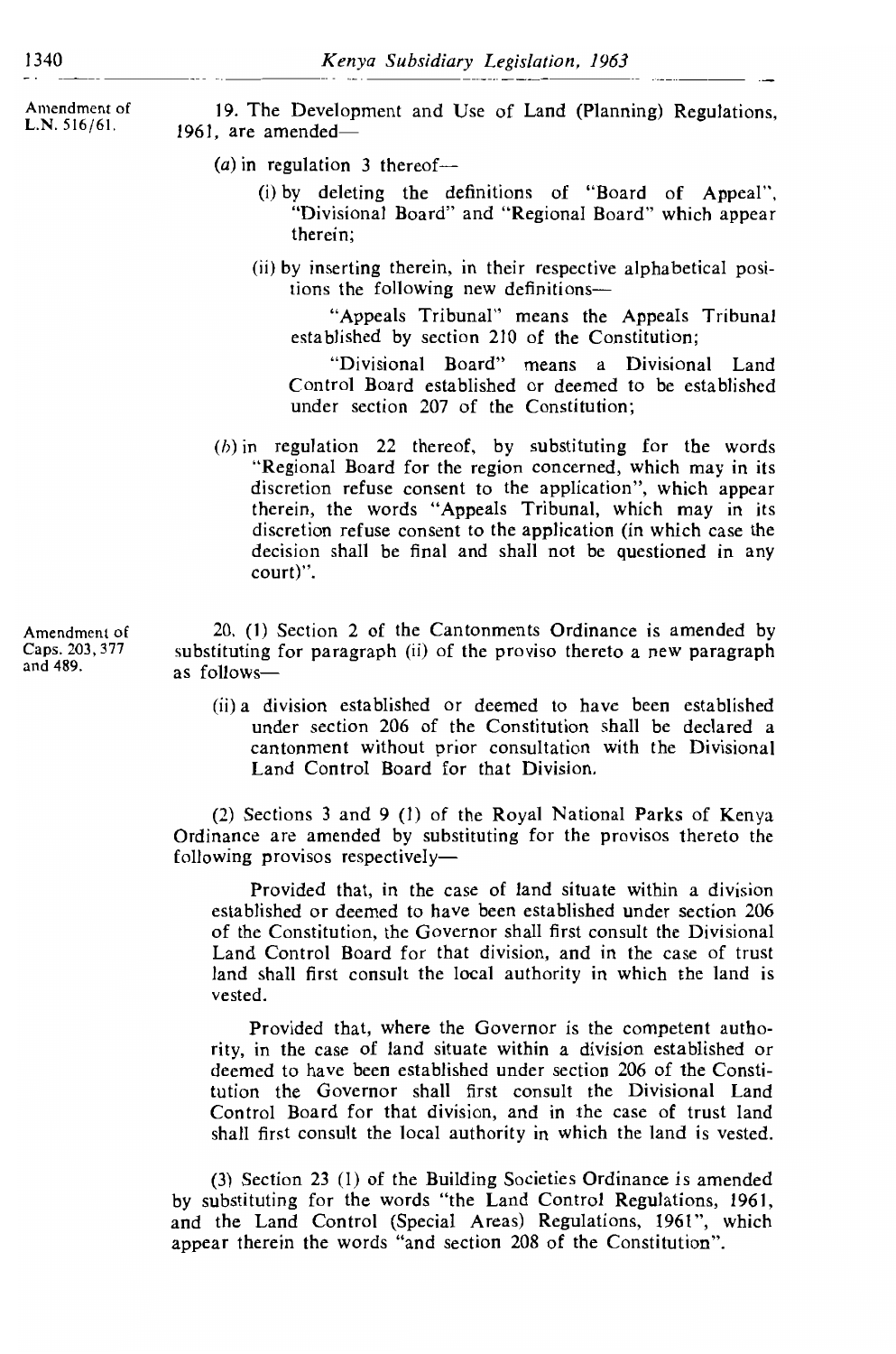Amendment of  $L.N. 516/61.$ 

19. The Development and Use of Land (Planning) Regulations. 1961, are amended-

- (a) in regulation 3 thereof—
	- (i) by deleting the definitions of "Board of Appeal", "Divisional Board" and "Regional Board" which appear therein:

*(a)* in regulation 3 thereof-

(ii) by inserting therein, in their respective alphabetical positions the following new definitions-

"Appeals Tribunal" means the Appeals Tribunal established by section 210 of the Constitution;

al Board" means a Divisional Land<br>Lotablished or deemed to be established ablished or deemed to be established under section 207 of the Constitution;

 $(h)$  in regulation 22 thereof, by substituting for the words "Regional Board for the region concerned, which may in its discretion refuse consent to the application", which appear therein, the words "Appeals Tribunal, which may in its discretion refuse consent to the application (in which case the  $\alpha$  decision shall be final and shall not be questioned in any court)".

20. (1) Section 2 of the Cantonments Ordinance is amended by substituting for paragraph (ii) of the proviso thereto a new paragraph as follows-

(ii) a division established or deemed to have been established under section 206 of the Constitution shall be declared a cantonment without prior consultation with the Divisional Land Control Board for that Division. following provisos respectively—

(2) Sections 3 and 9 (1) of the Royal National Parks of Kenya Ordinance are amended by substituting for the provisos thereto the following provisos respectively—  $\text{vely--}$ 

Provided that, in the case of land situate within a division established or deemed to have been established under section 206 of the Constitution, the Governor shall first consult the Divisional Land Control Board for that division, and in the case of trust land shall first consult the local authority in which the land is vested.

Provided that, where the Governor is the competent authority, in the case of land situate within a division established or deemed to have been established under section 206 of the Constitution the Governor shall first consult the Divisional Land<br>Control Board for that division, and in the case of trust land shall first consult the local authority in which the land is vested. and the Land Control ( $\frac{1}{2}$   $\frac{1}{2}$   $\frac{1}{2}$   $\frac{1}{2}$   $\frac{1}{2}$   $\frac{1}{2}$   $\frac{1}{2}$   $\frac{1}{2}$   $\frac{1}{2}$   $\frac{1}{2}$   $\frac{1}{2}$   $\frac{1}{2}$   $\frac{1}{2}$   $\frac{1}{2}$   $\frac{1}{2}$   $\frac{1}{2}$   $\frac{1}{2}$   $\frac{1}{2}$   $\frac{1}{2}$   $\frac{1}{2}$ 

(3) Section 23 (1) of the Building Societies Ordinance is amended by substituting for the words "the Land Control Regulations, 1961, and the Land Control (Special Areas) Regulations, 1961", which appear therein the words "and section 208 of the Constitution".

Amendment of Caps. 203, 377 and 489.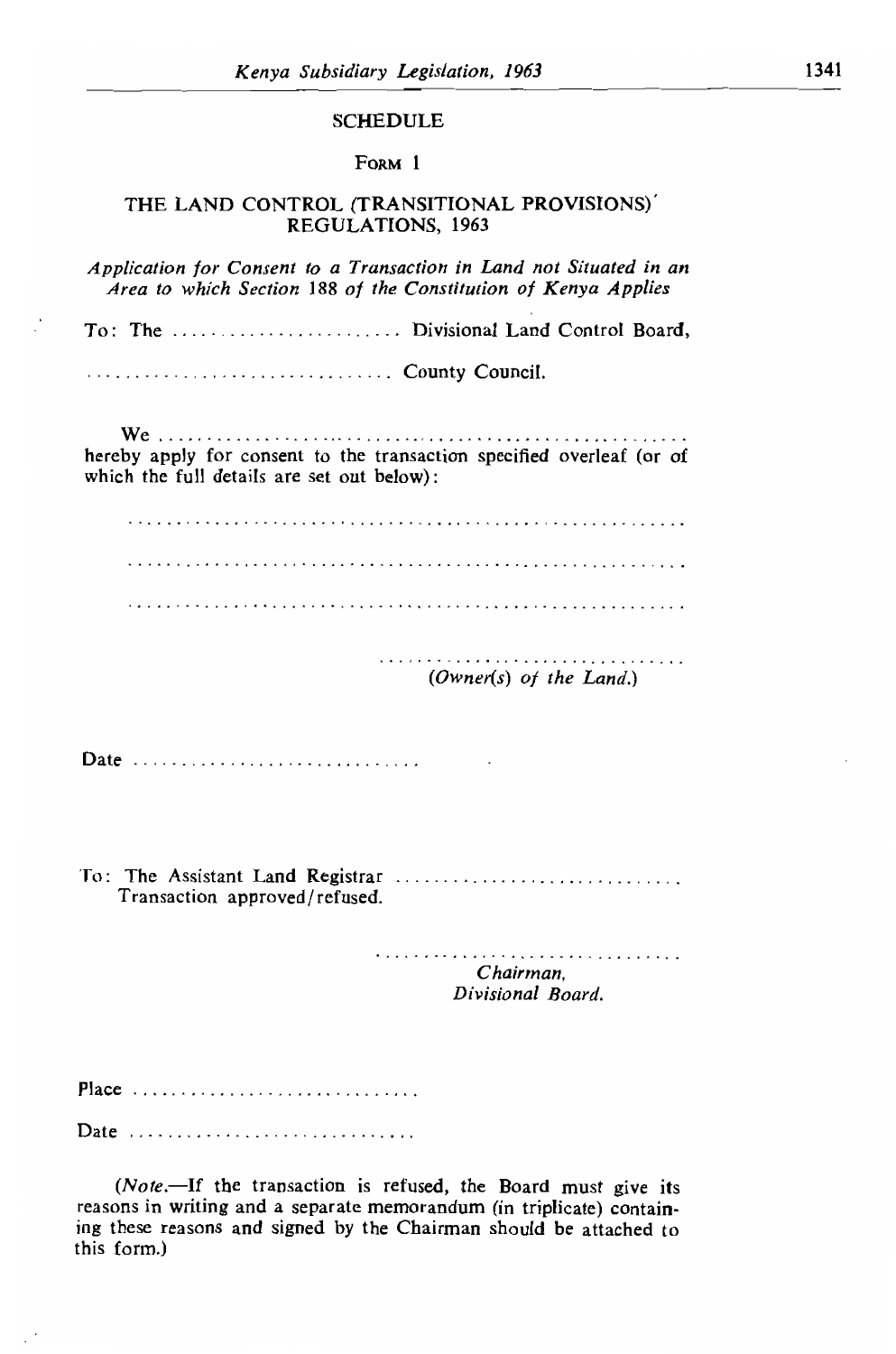# SCREDULE

#### FORM 1

# *Application for Consent to a Transaction in Land not Situated in an Area to which Section* 188 *of the Constitution of Kenya Applies*

Application for Consent to a Transaction in Land not Situated in an Area to which Section 188 of the Constitution of Kenya Applies

 $\ldots$  County Council.

hereby apply for consent to the transaction specified overleaf (or of which the full details are set out below):

*(Owner(s) of the Land.)* 

 $(Owner(s)$  of the Land.)

 $\overline{\phantom{a}}$ 

Date ................................

To: The Assistant Land Registrar ................................. Transaction approved/refused.

> Chairman. Divisional Board.

Place ..............................

Date *in construction* and a separate memorandum (in triplicate) contain-

(Note.-If the transaction is refused, the Board must give its reasons in writing and a separate memorandum (in triplicate) containing these reasons and signed by the Chairman should be attached to this form.)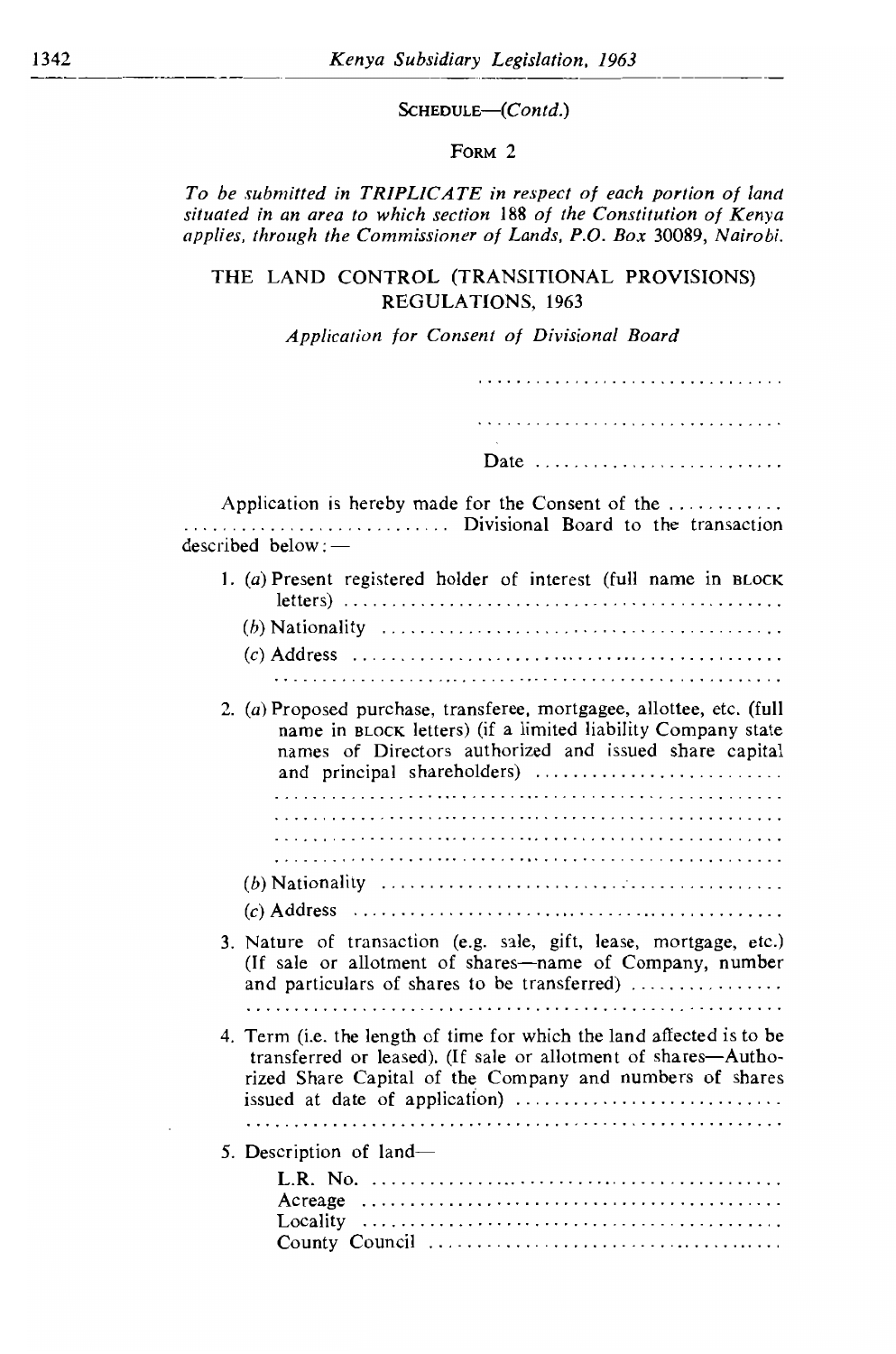$----$ 

## SCHEDULE-(Contd.)

## *situated in an area to which section* 188 *of the Constitution of Kenya applies, through the Commissioner of Lands, P.O. Box* 30089, *Nairobi.*

To be submitted in TRIPLICATE in respect of each portion of land<br>situated in an area to which section 188 of the Constitution of Kenya applies, through the Commissioner of Lands, P.O. Box 30089, Nairobi.

# THE LAND CONTROL (TRANSITIONAL PROVISIONS) REGULATIONS, 1963

## Application for Consent of Divisional Board

| Date<br>Application is hereby made for the Consent of the<br>Divisional Board to the transaction<br>described below:<br>1. (a) Present registered holder of interest (full name in BLOCK<br>2. (a) Proposed purchase, transferee, mortgagee, allottee, etc. (full<br>name in BLOCK letters) (if a limited liability Company state<br>names of Directors authorized and issued share capital<br>and principal shareholders)<br>3. Nature of transaction (e.g. sale, gift, lease, mortgage, etc.)<br>(If sale or allotment of shares-name of Company, number<br>and particulars of shares to be transferred)<br>4. Term (i.e. the length of time for which the land affected is to be<br>transferred or leased). (If sale or allotment of shares-Autho-<br>rized Share Capital of the Company and numbers of shares<br>5. Description of land— |  |
|----------------------------------------------------------------------------------------------------------------------------------------------------------------------------------------------------------------------------------------------------------------------------------------------------------------------------------------------------------------------------------------------------------------------------------------------------------------------------------------------------------------------------------------------------------------------------------------------------------------------------------------------------------------------------------------------------------------------------------------------------------------------------------------------------------------------------------------------|--|
|                                                                                                                                                                                                                                                                                                                                                                                                                                                                                                                                                                                                                                                                                                                                                                                                                                              |  |
|                                                                                                                                                                                                                                                                                                                                                                                                                                                                                                                                                                                                                                                                                                                                                                                                                                              |  |
|                                                                                                                                                                                                                                                                                                                                                                                                                                                                                                                                                                                                                                                                                                                                                                                                                                              |  |
|                                                                                                                                                                                                                                                                                                                                                                                                                                                                                                                                                                                                                                                                                                                                                                                                                                              |  |
|                                                                                                                                                                                                                                                                                                                                                                                                                                                                                                                                                                                                                                                                                                                                                                                                                                              |  |
|                                                                                                                                                                                                                                                                                                                                                                                                                                                                                                                                                                                                                                                                                                                                                                                                                                              |  |
|                                                                                                                                                                                                                                                                                                                                                                                                                                                                                                                                                                                                                                                                                                                                                                                                                                              |  |
|                                                                                                                                                                                                                                                                                                                                                                                                                                                                                                                                                                                                                                                                                                                                                                                                                                              |  |
|                                                                                                                                                                                                                                                                                                                                                                                                                                                                                                                                                                                                                                                                                                                                                                                                                                              |  |
|                                                                                                                                                                                                                                                                                                                                                                                                                                                                                                                                                                                                                                                                                                                                                                                                                                              |  |
|                                                                                                                                                                                                                                                                                                                                                                                                                                                                                                                                                                                                                                                                                                                                                                                                                                              |  |
|                                                                                                                                                                                                                                                                                                                                                                                                                                                                                                                                                                                                                                                                                                                                                                                                                                              |  |
|                                                                                                                                                                                                                                                                                                                                                                                                                                                                                                                                                                                                                                                                                                                                                                                                                                              |  |
|                                                                                                                                                                                                                                                                                                                                                                                                                                                                                                                                                                                                                                                                                                                                                                                                                                              |  |
|                                                                                                                                                                                                                                                                                                                                                                                                                                                                                                                                                                                                                                                                                                                                                                                                                                              |  |
|                                                                                                                                                                                                                                                                                                                                                                                                                                                                                                                                                                                                                                                                                                                                                                                                                                              |  |
|                                                                                                                                                                                                                                                                                                                                                                                                                                                                                                                                                                                                                                                                                                                                                                                                                                              |  |
|                                                                                                                                                                                                                                                                                                                                                                                                                                                                                                                                                                                                                                                                                                                                                                                                                                              |  |
|                                                                                                                                                                                                                                                                                                                                                                                                                                                                                                                                                                                                                                                                                                                                                                                                                                              |  |
|                                                                                                                                                                                                                                                                                                                                                                                                                                                                                                                                                                                                                                                                                                                                                                                                                                              |  |
|                                                                                                                                                                                                                                                                                                                                                                                                                                                                                                                                                                                                                                                                                                                                                                                                                                              |  |
|                                                                                                                                                                                                                                                                                                                                                                                                                                                                                                                                                                                                                                                                                                                                                                                                                                              |  |
|                                                                                                                                                                                                                                                                                                                                                                                                                                                                                                                                                                                                                                                                                                                                                                                                                                              |  |
|                                                                                                                                                                                                                                                                                                                                                                                                                                                                                                                                                                                                                                                                                                                                                                                                                                              |  |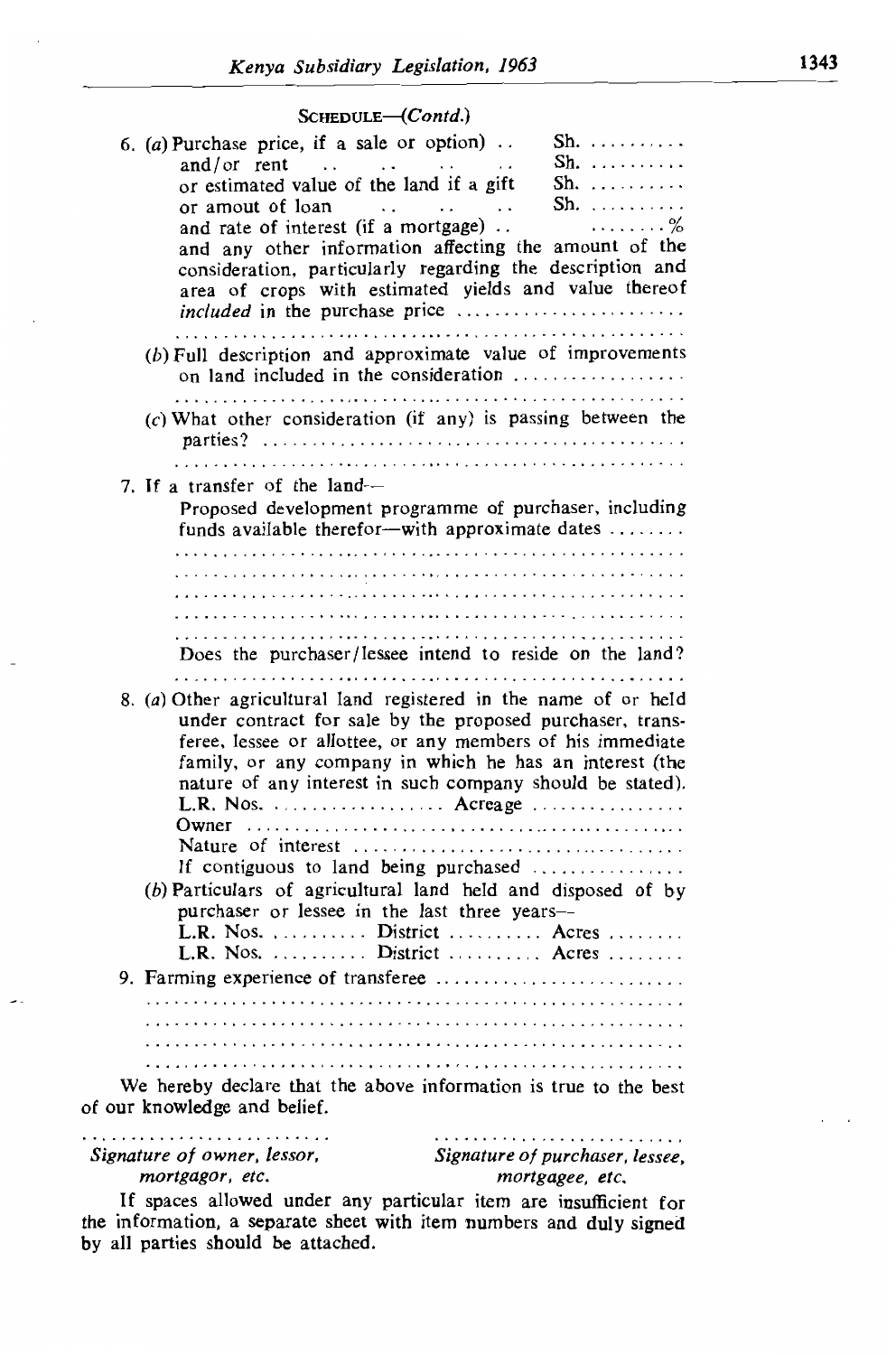### $S$ CHEDULE- $(Contd.)$

| OCHEDOLE (COMM)                                                                                                                                                                                                                                                                                                                                                                                                                                                                                                                                               |  |
|---------------------------------------------------------------------------------------------------------------------------------------------------------------------------------------------------------------------------------------------------------------------------------------------------------------------------------------------------------------------------------------------------------------------------------------------------------------------------------------------------------------------------------------------------------------|--|
| 6. (a) Purchase price, if a sale or option)<br>$\text{Sh.}$<br>$\mathsf{Sh.}$<br>and/or rent $\ldots$<br>and the state of the state of the state<br>or estimated value of the land if a gift<br>Sh. <i>.</i><br>$\mathsf{Sh.}$<br>or amout of loan<br>$\cdot$ .<br>$\sim$ $\sim$<br>$\ddotsc$<br>and rate of interest (if a mortgage)<br>. %<br>and any other information affecting the amount of the<br>consideration, particularly regarding the description and<br>area of crops with estimated yields and value thereof<br>included in the purchase price |  |
| $(b)$ Full description and approximate value of improvements<br>on land included in the consideration<br>$(c)$ What other consideration (if any) is passing between the                                                                                                                                                                                                                                                                                                                                                                                       |  |
|                                                                                                                                                                                                                                                                                                                                                                                                                                                                                                                                                               |  |
| 7. If a transfer of the land—                                                                                                                                                                                                                                                                                                                                                                                                                                                                                                                                 |  |
| Proposed development programme of purchaser, including<br>funds available therefor-with approximate dates                                                                                                                                                                                                                                                                                                                                                                                                                                                     |  |
|                                                                                                                                                                                                                                                                                                                                                                                                                                                                                                                                                               |  |
|                                                                                                                                                                                                                                                                                                                                                                                                                                                                                                                                                               |  |
|                                                                                                                                                                                                                                                                                                                                                                                                                                                                                                                                                               |  |
|                                                                                                                                                                                                                                                                                                                                                                                                                                                                                                                                                               |  |
| Does the purchaser/lessee intend to reside on the land?                                                                                                                                                                                                                                                                                                                                                                                                                                                                                                       |  |
| 8. (a) Other agricultural land registered in the name of or held<br>under contract for sale by the proposed purchaser, trans-<br>feree, lessee or allottee, or any members of his immediate<br>family, or any company in which he has an interest (the<br>nature of any interest in such company should be stated).<br>L.R. Nos. $\ldots \ldots \ldots \ldots \ldots$ Acreage $\ldots \ldots \ldots \ldots$<br>If contiguous to land being purchased                                                                                                          |  |
| $(b)$ Particulars of agricultural land held and disposed of by<br>purchaser or lessee in the last three years-<br>L.R. Nos.  District  Acres<br>L.R. Nos.  District  Acres                                                                                                                                                                                                                                                                                                                                                                                    |  |
|                                                                                                                                                                                                                                                                                                                                                                                                                                                                                                                                                               |  |
|                                                                                                                                                                                                                                                                                                                                                                                                                                                                                                                                                               |  |
|                                                                                                                                                                                                                                                                                                                                                                                                                                                                                                                                                               |  |
|                                                                                                                                                                                                                                                                                                                                                                                                                                                                                                                                                               |  |
|                                                                                                                                                                                                                                                                                                                                                                                                                                                                                                                                                               |  |
| We hereby declare that the above information is true to the best<br>of our knowledge and belief.                                                                                                                                                                                                                                                                                                                                                                                                                                                              |  |

If spaces allowed under any particular item are insufficient for the interactions in the interaction, a separature of purchaser, lessee, signature of purchaser, lessee, mortgagor, etc.

mortgagee, etc.

If spaces allowed under any particular item are insufficient for the information, a separate sheet with item numbers and duly signed by all parties should be attached.

 $\overline{\phantom{a}}$